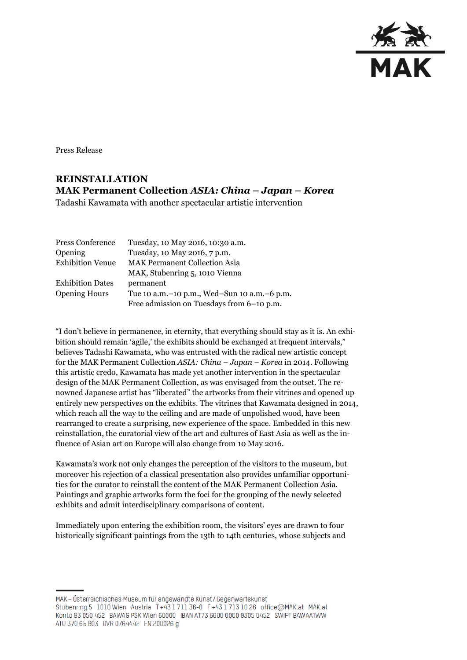

Press Release

# **REINSTALLATION MAK Permanent Collection** *ASIA: China – Japan – Korea*

Tadashi Kawamata with another spectacular artistic intervention

| Press Conference        | Tuesday, 10 May 2016, 10:30 a.m.                |
|-------------------------|-------------------------------------------------|
| <b>Opening</b>          | Tuesday, 10 May 2016, 7 p.m.                    |
| <b>Exhibition Venue</b> | <b>MAK Permanent Collection Asia</b>            |
|                         | MAK, Stubenring 5, 1010 Vienna                  |
| <b>Exhibition Dates</b> | permanent                                       |
| <b>Opening Hours</b>    | Tue 10 a.m. - 10 p.m., Wed-Sun 10 a.m. - 6 p.m. |
|                         | Free admission on Tuesdays from 6-10 p.m.       |

"I don't believe in permanence, in eternity, that everything should stay as it is. An exhibition should remain 'agile,' the exhibits should be exchanged at frequent intervals," believes Tadashi Kawamata, who was entrusted with the radical new artistic concept for the MAK Permanent Collection *ASIA: China – Japan – Korea* in 2014. Following this artistic credo, Kawamata has made yet another intervention in the spectacular design of the MAK Permanent Collection, as was envisaged from the outset. The renowned Japanese artist has "liberated" the artworks from their vitrines and opened up entirely new perspectives on the exhibits. The vitrines that Kawamata designed in 2014, which reach all the way to the ceiling and are made of unpolished wood, have been rearranged to create a surprising, new experience of the space. Embedded in this new reinstallation, the curatorial view of the art and cultures of East Asia as well as the influence of Asian art on Europe will also change from 10 May 2016.

Kawamata's work not only changes the perception of the visitors to the museum, but moreover his rejection of a classical presentation also provides unfamiliar opportunities for the curator to reinstall the content of the MAK Permanent Collection Asia. Paintings and graphic artworks form the foci for the grouping of the newly selected exhibits and admit interdisciplinary comparisons of content.

Immediately upon entering the exhibition room, the visitors' eyes are drawn to four historically significant paintings from the 13th to 14th centuries, whose subjects and

MAK – Österreichisches Museum für angewandte Kunst/Gegenwartskunst Stubenring 5 1010 Wien Austria T+43 1711 36-0 F+43 1713 10 26 office@MAK.at MAK.at Konto 93 050 452 BAWAG PSK Wien 60000 IBAN AT73 6000 0000 9305 0452 SWIFT BAWAATWW ATU 370 65 803 DVR 0764442 FN 200026 g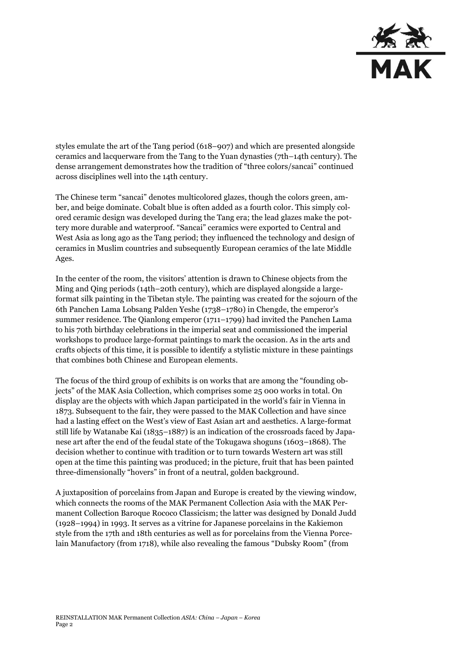

styles emulate the art of the Tang period (618–907) and which are presented alongside ceramics and lacquerware from the Tang to the Yuan dynasties (7th–14th century). The dense arrangement demonstrates how the tradition of "three colors/sancai" continued across disciplines well into the 14th century.

The Chinese term "sancai" denotes multicolored glazes, though the colors green, amber, and beige dominate. Cobalt blue is often added as a fourth color. This simply colored ceramic design was developed during the Tang era; the lead glazes make the pottery more durable and waterproof. "Sancai" ceramics were exported to Central and West Asia as long ago as the Tang period; they influenced the technology and design of ceramics in Muslim countries and subsequently European ceramics of the late Middle Ages.

In the center of the room, the visitors' attention is drawn to Chinese objects from the Ming and Qing periods (14th–20th century), which are displayed alongside a largeformat silk painting in the Tibetan style. The painting was created for the sojourn of the 6th Panchen Lama Lobsang Palden Yeshe (1738–1780) in Chengde, the emperor's summer residence. The Qianlong emperor (1711–1799) had invited the Panchen Lama to his 70th birthday celebrations in the imperial seat and commissioned the imperial workshops to produce large-format paintings to mark the occasion. As in the arts and crafts objects of this time, it is possible to identify a stylistic mixture in these paintings that combines both Chinese and European elements.

The focus of the third group of exhibits is on works that are among the "founding objects" of the MAK Asia Collection, which comprises some 25 000 works in total. On display are the objects with which Japan participated in the world's fair in Vienna in 1873. Subsequent to the fair, they were passed to the MAK Collection and have since had a lasting effect on the West's view of East Asian art and aesthetics. A large-format still life by Watanabe Kai (1835–1887) is an indication of the crossroads faced by Japanese art after the end of the feudal state of the Tokugawa shoguns (1603–1868). The decision whether to continue with tradition or to turn towards Western art was still open at the time this painting was produced; in the picture, fruit that has been painted three-dimensionally "hovers" in front of a neutral, golden background.

A juxtaposition of porcelains from Japan and Europe is created by the viewing window, which connects the rooms of the MAK Permanent Collection Asia with the MAK Permanent Collection Baroque Rococo Classicism; the latter was designed by Donald Judd (1928–1994) in 1993. It serves as a vitrine for Japanese porcelains in the Kakiemon style from the 17th and 18th centuries as well as for porcelains from the Vienna Porcelain Manufactory (from 1718), while also revealing the famous "Dubsky Room" (from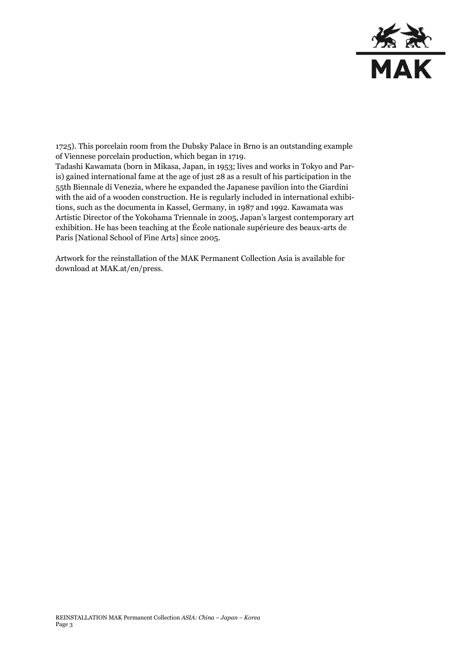

1725). This porcelain room from the Dubsky Palace in Brno is an outstanding example of Viennese porcelain production, which began in 1719.

Tadashi Kawamata (born in Mikasa, Japan, in 1953; lives and works in Tokyo and Paris) gained international fame at the age of just 28 as a result of his participation in the 55th Biennale di Venezia, where he expanded the Japanese pavilion into the Giardini with the aid of a wooden construction. He is regularly included in international exhibitions, such as the documenta in Kassel, Germany, in 1987 and 1992. Kawamata was Artistic Director of the Yokohama Triennale in 2005, Japan's largest contemporary art exhibition. He has been teaching at the École nationale supérieure des beaux-arts de Paris [National School of Fine Arts] since 2005.

Artwork for the reinstallation of the MAK Permanent Collection Asia is available for download at MAK.at/en/press.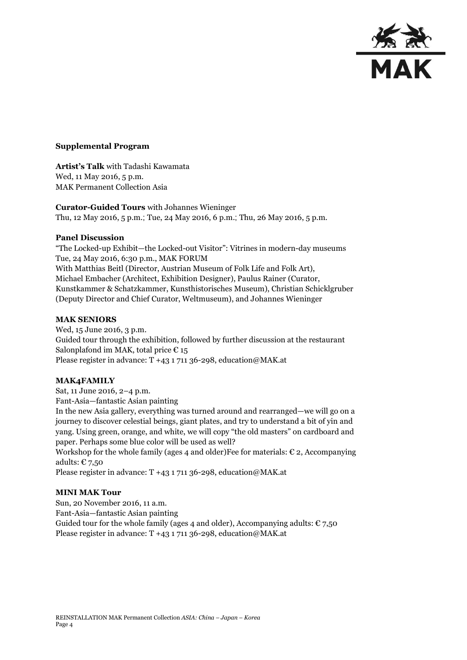

#### **Supplemental Program**

**Artist's Talk** with Tadashi Kawamata Wed, 11 May 2016, 5 p.m. MAK Permanent Collection Asia

**Curator-Guided Tours** with Johannes Wieninger Thu, 12 May 2016, 5 p.m.; Tue, 24 May 2016, 6 p.m.; Thu, 26 May 2016, 5 p.m.

#### **Panel Discussion**

"The Locked-up Exhibit—the Locked-out Visitor": Vitrines in modern-day museums Tue, 24 May 2016, 6:30 p.m., MAK FORUM With Matthias Beitl (Director, Austrian Museum of Folk Life and Folk Art), Michael Embacher (Architect, Exhibition Designer), Paulus Rainer (Curator, Kunstkammer & Schatzkammer, Kunsthistorisches Museum), Christian Schicklgruber (Deputy Director and Chief Curator, Weltmuseum), and Johannes Wieninger

#### **MAK SENIORS**

Wed, 15 June 2016, 3 p.m. Guided tour through the exhibition, followed by further discussion at the restaurant Salonplafond im MAK, total price  $\epsilon$  15 Please register in advance: T +43 1 711 36-298, education@MAK.at

### **MAK4FAMILY**

Sat, 11 June 2016, 2–4 p.m. Fant-Asia—fantastic Asian painting

In the new Asia gallery, everything was turned around and rearranged—we will go on a journey to discover celestial beings, giant plates, and try to understand a bit of yin and yang. Using green, orange, and white, we will copy "the old masters" on cardboard and paper. Perhaps some blue color will be used as well?

Workshop for the whole family (ages 4 and older)Fee for materials:  $\epsilon$  2, Accompanying adults:  $\epsilon$  7,50

Please register in advance:  $T +43$  1 711 36-298, education@MAK.at

## **MINI MAK Tour**

Sun, 20 November 2016, 11 a.m. Fant-Asia—fantastic Asian painting Guided tour for the whole family (ages 4 and older), Accompanying adults:  $\epsilon$  7,50 Please register in advance:  $T +43$  1 711 36-298, education@MAK.at